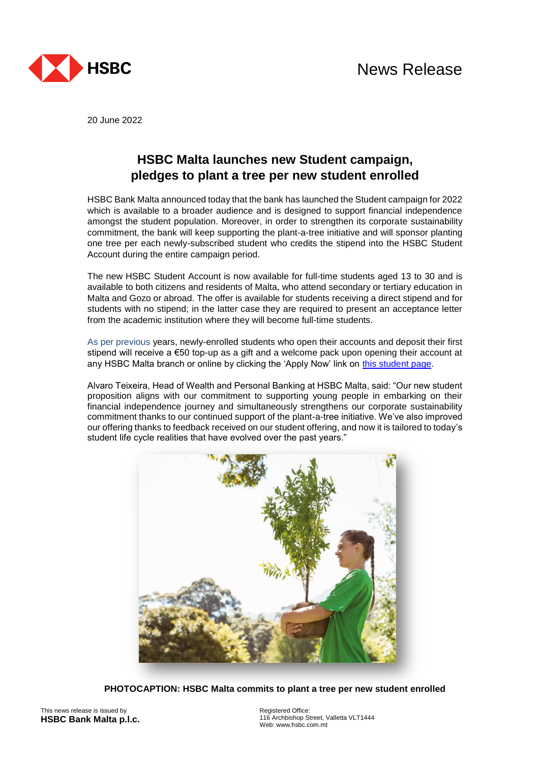

20 June 2022

## **HSBC Malta launches new Student campaign, pledges to plant a tree per new student enrolled**

HSBC Bank Malta announced today that the bank has launched the Student campaign for 2022 which is available to a broader audience and is designed to support financial independence amongst the student population. Moreover, in order to strengthen its corporate sustainability commitment, the bank will keep supporting the plant-a-tree initiative and will sponsor planting one tree per each newly-subscribed student who credits the stipend into the HSBC Student Account during the entire campaign period.

The new HSBC Student Account is now available for full-time students aged 13 to 30 and is available to both citizens and residents of Malta, who attend secondary or tertiary education in Malta and Gozo or abroad. The offer is available for students receiving a direct stipend and for students with no stipend; in the latter case they are required to present an acceptance letter from the academic institution where they will become full-time students.

As per previous years, newly-enrolled students who open their accounts and deposit their first stipend will receive a €50 top-up as a gift and a welcome pack upon opening their account at any HSBC Malta branch or online by clicking the 'Apply Now' link on [this student page.](https://www.hsbc.com.mt/accounts/products/student/)

Alvaro Teixeira, Head of Wealth and Personal Banking at HSBC Malta, said: "Our new student proposition aligns with our commitment to supporting young people in embarking on their financial independence journey and simultaneously strengthens our corporate sustainability commitment thanks to our continued support of the plant-a-tree initiative. We've also improved our offering thanks to feedback received on our student offering, and now it is tailored to today's student life cycle realities that have evolved over the past years."



**PHOTOCAPTION: HSBC Malta commits to plant a tree per new student enrolled**

This news release is issued by **HSBC Bank Malta p.l.c.** Registered Office: 116 Archbishop Street, Valletta VLT1444 Web: www.hsbc.com.mt